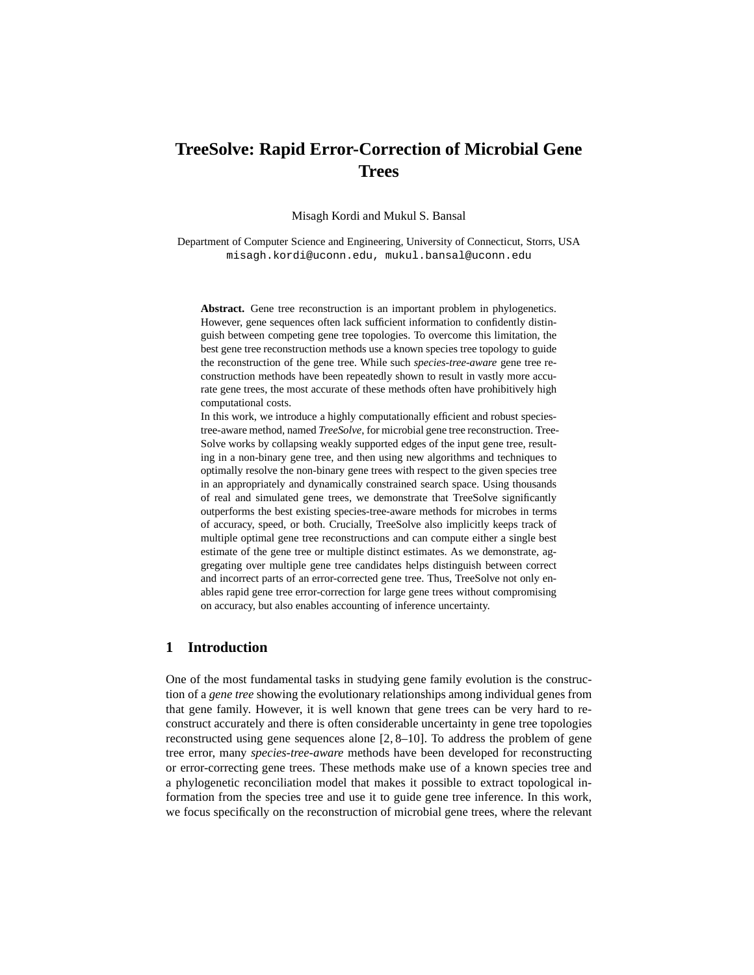# **TreeSolve: Rapid Error-Correction of Microbial Gene Trees**

Misagh Kordi and Mukul S. Bansal

Department of Computer Science and Engineering, University of Connecticut, Storrs, USA misagh.kordi@uconn.edu, mukul.bansal@uconn.edu

**Abstract.** Gene tree reconstruction is an important problem in phylogenetics. However, gene sequences often lack sufficient information to confidently distinguish between competing gene tree topologies. To overcome this limitation, the best gene tree reconstruction methods use a known species tree topology to guide the reconstruction of the gene tree. While such *species-tree-aware* gene tree reconstruction methods have been repeatedly shown to result in vastly more accurate gene trees, the most accurate of these methods often have prohibitively high computational costs.

In this work, we introduce a highly computationally efficient and robust speciestree-aware method, named *TreeSolve*, for microbial gene tree reconstruction. Tree-Solve works by collapsing weakly supported edges of the input gene tree, resulting in a non-binary gene tree, and then using new algorithms and techniques to optimally resolve the non-binary gene trees with respect to the given species tree in an appropriately and dynamically constrained search space. Using thousands of real and simulated gene trees, we demonstrate that TreeSolve significantly outperforms the best existing species-tree-aware methods for microbes in terms of accuracy, speed, or both. Crucially, TreeSolve also implicitly keeps track of multiple optimal gene tree reconstructions and can compute either a single best estimate of the gene tree or multiple distinct estimates. As we demonstrate, aggregating over multiple gene tree candidates helps distinguish between correct and incorrect parts of an error-corrected gene tree. Thus, TreeSolve not only enables rapid gene tree error-correction for large gene trees without compromising on accuracy, but also enables accounting of inference uncertainty.

## **1 Introduction**

One of the most fundamental tasks in studying gene family evolution is the construction of a *gene tree* showing the evolutionary relationships among individual genes from that gene family. However, it is well known that gene trees can be very hard to reconstruct accurately and there is often considerable uncertainty in gene tree topologies reconstructed using gene sequences alone [2, 8–10]. To address the problem of gene tree error, many *species-tree-aware* methods have been developed for reconstructing or error-correcting gene trees. These methods make use of a known species tree and a phylogenetic reconciliation model that makes it possible to extract topological information from the species tree and use it to guide gene tree inference. In this work, we focus specifically on the reconstruction of microbial gene trees, where the relevant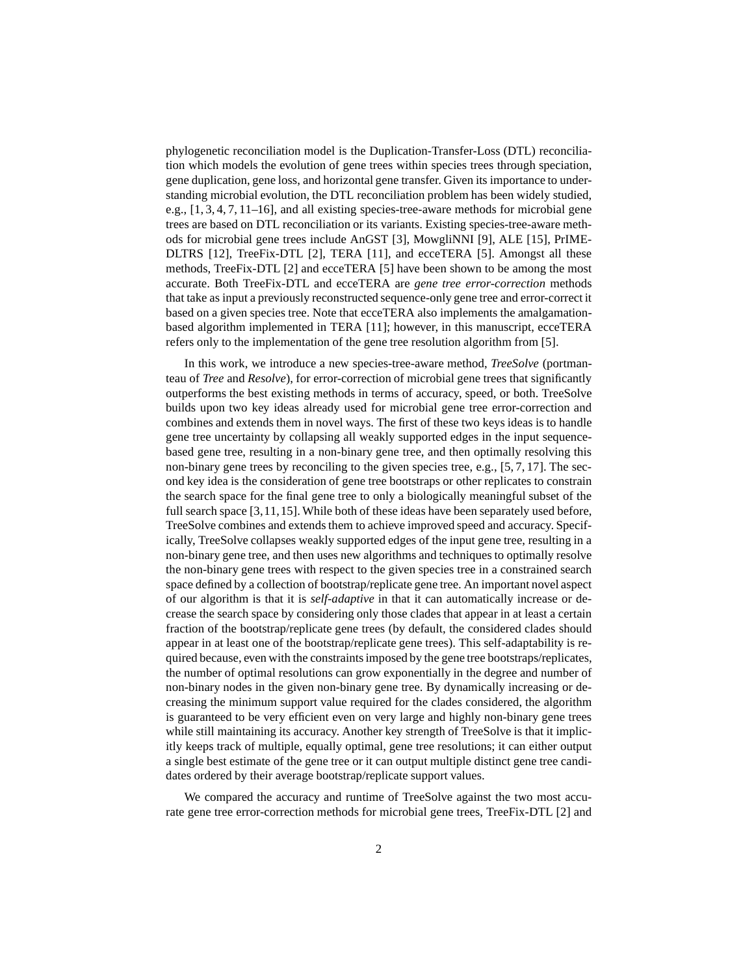phylogenetic reconciliation model is the Duplication-Transfer-Loss (DTL) reconciliation which models the evolution of gene trees within species trees through speciation, gene duplication, gene loss, and horizontal gene transfer. Given its importance to understanding microbial evolution, the DTL reconciliation problem has been widely studied, e.g., [1, 3, 4, 7, 11–16], and all existing species-tree-aware methods for microbial gene trees are based on DTL reconciliation or its variants. Existing species-tree-aware methods for microbial gene trees include AnGST [3], MowgliNNI [9], ALE [15], PrIME-DLTRS [12], TreeFix-DTL [2], TERA [11], and ecceTERA [5]. Amongst all these methods, TreeFix-DTL [2] and ecceTERA [5] have been shown to be among the most accurate. Both TreeFix-DTL and ecceTERA are *gene tree error-correction* methods that take as input a previously reconstructed sequence-only gene tree and error-correct it based on a given species tree. Note that ecceTERA also implements the amalgamationbased algorithm implemented in TERA [11]; however, in this manuscript, ecceTERA refers only to the implementation of the gene tree resolution algorithm from [5].

In this work, we introduce a new species-tree-aware method, *TreeSolve* (portmanteau of *Tree* and *Resolve*), for error-correction of microbial gene trees that significantly outperforms the best existing methods in terms of accuracy, speed, or both. TreeSolve builds upon two key ideas already used for microbial gene tree error-correction and combines and extends them in novel ways. The first of these two keys ideas is to handle gene tree uncertainty by collapsing all weakly supported edges in the input sequencebased gene tree, resulting in a non-binary gene tree, and then optimally resolving this non-binary gene trees by reconciling to the given species tree, e.g., [5, 7, 17]. The second key idea is the consideration of gene tree bootstraps or other replicates to constrain the search space for the final gene tree to only a biologically meaningful subset of the full search space [3,11,15]. While both of these ideas have been separately used before, TreeSolve combines and extends them to achieve improved speed and accuracy. Specifically, TreeSolve collapses weakly supported edges of the input gene tree, resulting in a non-binary gene tree, and then uses new algorithms and techniques to optimally resolve the non-binary gene trees with respect to the given species tree in a constrained search space defined by a collection of bootstrap/replicate gene tree. An important novel aspect of our algorithm is that it is *self-adaptive* in that it can automatically increase or decrease the search space by considering only those clades that appear in at least a certain fraction of the bootstrap/replicate gene trees (by default, the considered clades should appear in at least one of the bootstrap/replicate gene trees). This self-adaptability is required because, even with the constraints imposed by the gene tree bootstraps/replicates, the number of optimal resolutions can grow exponentially in the degree and number of non-binary nodes in the given non-binary gene tree. By dynamically increasing or decreasing the minimum support value required for the clades considered, the algorithm is guaranteed to be very efficient even on very large and highly non-binary gene trees while still maintaining its accuracy. Another key strength of TreeSolve is that it implicitly keeps track of multiple, equally optimal, gene tree resolutions; it can either output a single best estimate of the gene tree or it can output multiple distinct gene tree candidates ordered by their average bootstrap/replicate support values.

We compared the accuracy and runtime of TreeSolve against the two most accurate gene tree error-correction methods for microbial gene trees, TreeFix-DTL [2] and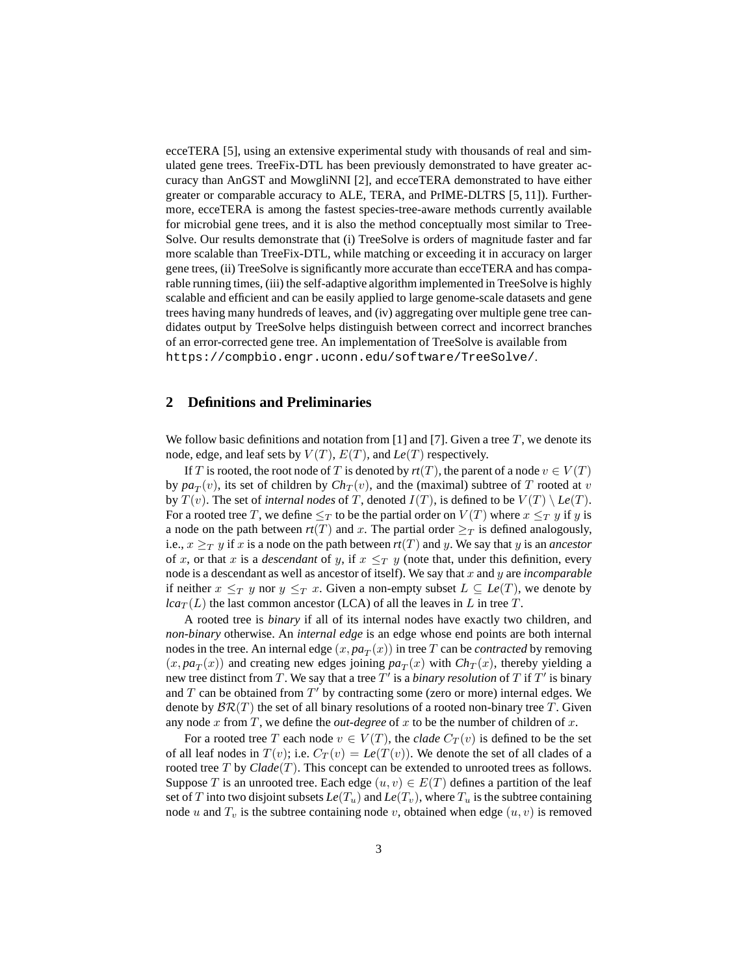ecceTERA [5], using an extensive experimental study with thousands of real and simulated gene trees. TreeFix-DTL has been previously demonstrated to have greater accuracy than AnGST and MowgliNNI [2], and ecceTERA demonstrated to have either greater or comparable accuracy to ALE, TERA, and PrIME-DLTRS [5, 11]). Furthermore, ecceTERA is among the fastest species-tree-aware methods currently available for microbial gene trees, and it is also the method conceptually most similar to Tree-Solve. Our results demonstrate that (i) TreeSolve is orders of magnitude faster and far more scalable than TreeFix-DTL, while matching or exceeding it in accuracy on larger gene trees, (ii) TreeSolve is significantly more accurate than ecceTERA and has comparable running times, (iii) the self-adaptive algorithm implemented in TreeSolve is highly scalable and efficient and can be easily applied to large genome-scale datasets and gene trees having many hundreds of leaves, and (iv) aggregating over multiple gene tree candidates output by TreeSolve helps distinguish between correct and incorrect branches of an error-corrected gene tree. An implementation of TreeSolve is available from https://compbio.engr.uconn.edu/software/TreeSolve/.

## **2 Definitions and Preliminaries**

We follow basic definitions and notation from [1] and [7]. Given a tree  $T$ , we denote its node, edge, and leaf sets by  $V(T)$ ,  $E(T)$ , and  $Le(T)$  respectively.

If T is rooted, the root node of T is denoted by  $rt(T)$ , the parent of a node  $v \in V(T)$ by  $pa_T(v)$ , its set of children by  $Ch_T(v)$ , and the (maximal) subtree of T rooted at v by  $T(v)$ . The set of *internal nodes* of T, denoted  $I(T)$ , is defined to be  $V(T) \setminus Le(T)$ . For a rooted tree T, we define  $\leq_T$  to be the partial order on  $V(T)$  where  $x \leq_T y$  if y is a node on the path between  $r(T)$  and x. The partial order  $\geq_T$  is defined analogously, i.e.,  $x \geq_T y$  if x is a node on the path between  $rt(T)$  and y. We say that y is an *ancestor* of x, or that x is a *descendant* of y, if  $x \leq_T y$  (note that, under this definition, every node is a descendant as well as ancestor of itself). We say that x and y are *incomparable* if neither  $x \leq_T y$  nor  $y \leq_T x$ . Given a non-empty subset  $L \subseteq Le(T)$ , we denote by  $lca_T(L)$  the last common ancestor (LCA) of all the leaves in L in tree T.

A rooted tree is *binary* if all of its internal nodes have exactly two children, and *non-binary* otherwise. An *internal edge* is an edge whose end points are both internal nodes in the tree. An internal edge  $(x, pa_T(x))$  in tree  $T$  can be *contracted* by removing  $(x, pa_T(x))$  and creating new edges joining  $pa_T(x)$  with  $Ch_T(x)$ , thereby yielding a new tree distinct from T. We say that a tree  $T'$  is a *binary resolution* of T if  $T'$  is binary and  $T$  can be obtained from  $T'$  by contracting some (zero or more) internal edges. We denote by  $\mathcal{BR}(T)$  the set of all binary resolutions of a rooted non-binary tree T. Given any node  $x$  from  $T$ , we define the *out-degree* of  $x$  to be the number of children of  $x$ .

For a rooted tree T each node  $v \in V(T)$ , the *clade*  $C_T(v)$  is defined to be the set of all leaf nodes in  $T(v)$ ; i.e.  $C_T(v) = Le(T(v))$ . We denote the set of all clades of a rooted tree  $T$  by  $C \cdot \text{I} \cdot \text{I} \cdot \text{I}$  This concept can be extended to unrooted trees as follows. Suppose T is an unrooted tree. Each edge  $(u, v) \in E(T)$  defines a partition of the leaf set of T into two disjoint subsets  $Le(T_u)$  and  $Le(T_v)$ , where  $T_u$  is the subtree containing node u and  $T_v$  is the subtree containing node v, obtained when edge  $(u, v)$  is removed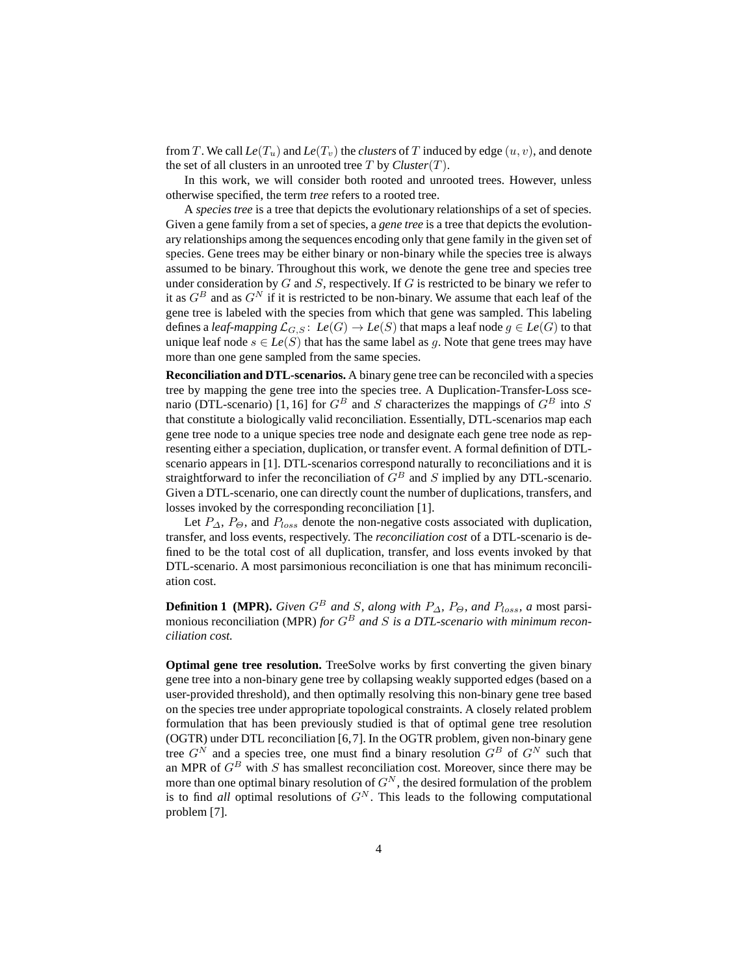from T. We call  $Le(T_u)$  and  $Le(T_v)$  the *clusters* of T induced by edge  $(u, v)$ , and denote the set of all clusters in an unrooted tree  $T$  by *Cluster* $(T)$ .

In this work, we will consider both rooted and unrooted trees. However, unless otherwise specified, the term *tree* refers to a rooted tree.

A *species tree* is a tree that depicts the evolutionary relationships of a set of species. Given a gene family from a set of species, a *gene tree* is a tree that depicts the evolutionary relationships among the sequences encoding only that gene family in the given set of species. Gene trees may be either binary or non-binary while the species tree is always assumed to be binary. Throughout this work, we denote the gene tree and species tree under consideration by  $G$  and  $S$ , respectively. If  $G$  is restricted to be binary we refer to it as  $G^B$  and as  $G^N$  if it is restricted to be non-binary. We assume that each leaf of the gene tree is labeled with the species from which that gene was sampled. This labeling defines a *leaf-mapping*  $\mathcal{L}_{G,S}$ :  $Le(G) \rightarrow Le(S)$  that maps a leaf node  $q \in Le(G)$  to that unique leaf node  $s \in Le(S)$  that has the same label as g. Note that gene trees may have more than one gene sampled from the same species.

**Reconciliation and DTL-scenarios.** A binary gene tree can be reconciled with a species tree by mapping the gene tree into the species tree. A Duplication-Transfer-Loss scenario (DTL-scenario) [1, 16] for  $G^B$  and S characterizes the mappings of  $G^B$  into S that constitute a biologically valid reconciliation. Essentially, DTL-scenarios map each gene tree node to a unique species tree node and designate each gene tree node as representing either a speciation, duplication, or transfer event. A formal definition of DTLscenario appears in [1]. DTL-scenarios correspond naturally to reconciliations and it is straightforward to infer the reconciliation of  $G^B$  and S implied by any DTL-scenario. Given a DTL-scenario, one can directly count the number of duplications, transfers, and losses invoked by the corresponding reconciliation [1].

Let  $P_{\Delta}$ ,  $P_{\Theta}$ , and  $P_{loss}$  denote the non-negative costs associated with duplication, transfer, and loss events, respectively. The *reconciliation cost* of a DTL-scenario is defined to be the total cost of all duplication, transfer, and loss events invoked by that DTL-scenario. A most parsimonious reconciliation is one that has minimum reconciliation cost.

**Definition 1 (MPR).** *Given*  $G^B$  *and S, along with*  $P_{\Delta}$ *,*  $P_{\Theta}$ *<i>, and*  $P_{loss}$ *, a* most parsimonious reconciliation (MPR) *for*  $G^B$  *and*  $S$  *is a DTL-scenario with minimum reconciliation cost.*

**Optimal gene tree resolution.** TreeSolve works by first converting the given binary gene tree into a non-binary gene tree by collapsing weakly supported edges (based on a user-provided threshold), and then optimally resolving this non-binary gene tree based on the species tree under appropriate topological constraints. A closely related problem formulation that has been previously studied is that of optimal gene tree resolution (OGTR) under DTL reconciliation [6,7]. In the OGTR problem, given non-binary gene tree  $G^N$  and a species tree, one must find a binary resolution  $G^B$  of  $G^N$  such that an MPR of  $G^B$  with S has smallest reconciliation cost. Moreover, since there may be more than one optimal binary resolution of  $G<sup>N</sup>$ , the desired formulation of the problem is to find *all* optimal resolutions of  $G<sup>N</sup>$ . This leads to the following computational problem [7].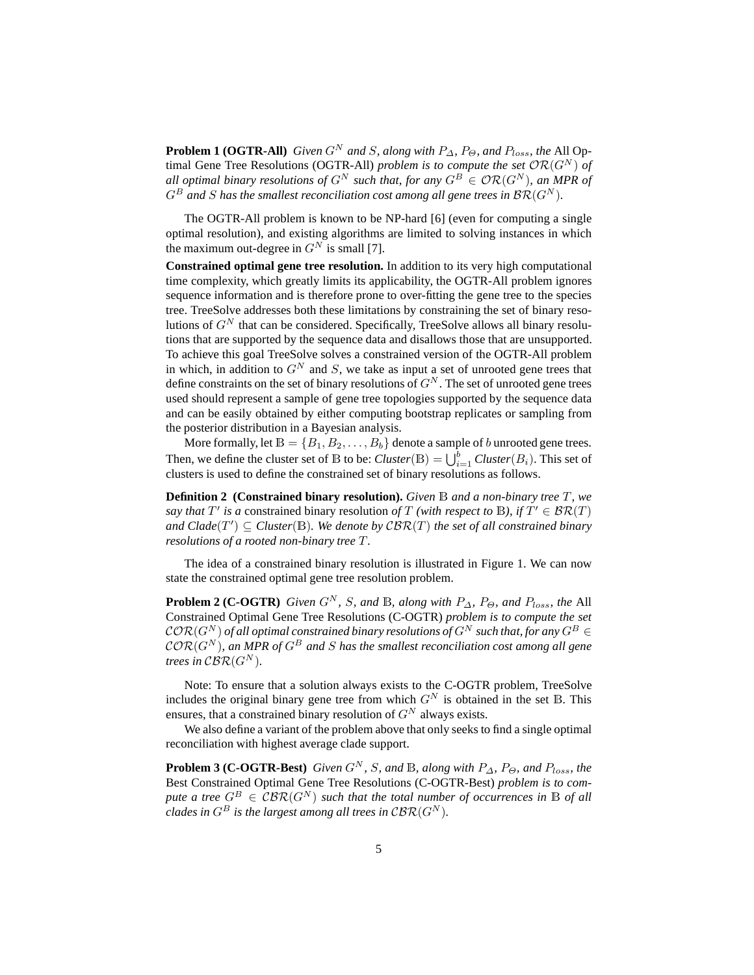**Problem 1 (OGTR-All)** *Given*  $G^N$  *and*  $S$ *, along with*  $P_{\Delta}$ *,*  $P_{\Theta}$ *, and*  $P_{loss}$ *, the* All Optimal Gene Tree Resolutions (OGTR-All) *problem is to compute the set*  $\mathcal{OR}(G^N)$  *of all optimal binary resolutions of*  $G^N$  *such that, for any*  $G^B \in \mathcal{OR}(G^N)$ *, an MPR of*  $G^B$  and S has the smallest reconciliation cost among all gene trees in  $\mathcal{BR}(G^N)$ .

The OGTR-All problem is known to be NP-hard [6] (even for computing a single optimal resolution), and existing algorithms are limited to solving instances in which the maximum out-degree in  $G<sup>N</sup>$  is small [7].

**Constrained optimal gene tree resolution.** In addition to its very high computational time complexity, which greatly limits its applicability, the OGTR-All problem ignores sequence information and is therefore prone to over-fitting the gene tree to the species tree. TreeSolve addresses both these limitations by constraining the set of binary resolutions of  $G<sup>N</sup>$  that can be considered. Specifically, TreeSolve allows all binary resolutions that are supported by the sequence data and disallows those that are unsupported. To achieve this goal TreeSolve solves a constrained version of the OGTR-All problem in which, in addition to  $G<sup>N</sup>$  and S, we take as input a set of unrooted gene trees that define constraints on the set of binary resolutions of  $G<sup>N</sup>$ . The set of unrooted gene trees used should represent a sample of gene tree topologies supported by the sequence data and can be easily obtained by either computing bootstrap replicates or sampling from the posterior distribution in a Bayesian analysis.

More formally, let  $B = \{B_1, B_2, \ldots, B_b\}$  denote a sample of b unrooted gene trees. Then, we define the cluster set of  $\mathbb B$  to be:  $Cluster(\mathbb B) = \bigcup_{i=1}^b Cluster(B_i).$  This set of clusters is used to define the constrained set of binary resolutions as follows.

**Definition 2 (Constrained binary resolution).** *Given* B *and a non-binary tree* T *, we say that*  $T'$  *is a* constrained binary resolution *of*  $T$  *(with respect to*  $\mathbb{B}$ *), if*  $T' \in \mathcal{BR}(T)$ and  $\text{Clade}(T') \subseteq \text{Cluster}(B)$ . We denote by  $\text{CBR}(T)$  the set of all constrained binary *resolutions of a rooted non-binary tree* T *.*

The idea of a constrained binary resolution is illustrated in Figure 1. We can now state the constrained optimal gene tree resolution problem.

**Problem 2 (C-OGTR)** *Given*  $G^N$ *, S, and* B*, along with*  $P_{\Delta}$ *,*  $P_{\Theta}$ *, and*  $P_{loss}$ *, the* All Constrained Optimal Gene Tree Resolutions (C-OGTR) *problem is to compute the set*  $\mathcal{COR}(G^N)$  of all optimal constrained binary resolutions of  $G^N$  such that, for any  $G^B \in$  $\mathcal{COR}(G^N)$ , an MPR of  $G^B$  and S has the smallest reconciliation cost among all gene *trees in*  $CBR(G^N)$ *.* 

Note: To ensure that a solution always exists to the C-OGTR problem, TreeSolve includes the original binary gene tree from which  $G<sup>N</sup>$  is obtained in the set B. This ensures, that a constrained binary resolution of  $G<sup>N</sup>$  always exists.

We also define a variant of the problem above that only seeks to find a single optimal reconciliation with highest average clade support.

**Problem 3 (C-OGTR-Best)** *Given*  $G^N$ *, S, and*  $\mathbb{B}$ *, along with*  $P_{\Delta}$ *,*  $P_{\Theta}$ *<i>, and*  $P_{loss}$ *, the* Best Constrained Optimal Gene Tree Resolutions (C-OGTR-Best) *problem is to compute a tree*  $G^B \in \mathcal{CBR}(G^N)$  *such that the total number of occurrences in* B *of all clades in*  $G^B$  *is the largest among all trees in*  $\mathcal{CBR}(G^N)$ *.*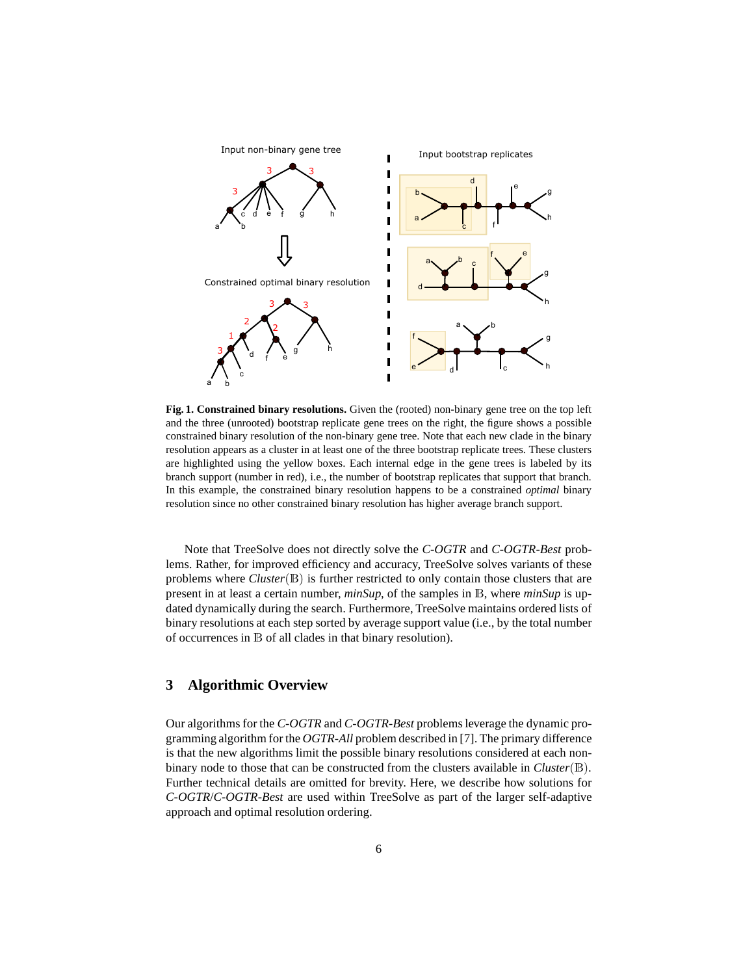

**Fig. 1. Constrained binary resolutions.** Given the (rooted) non-binary gene tree on the top left and the three (unrooted) bootstrap replicate gene trees on the right, the figure shows a possible constrained binary resolution of the non-binary gene tree. Note that each new clade in the binary resolution appears as a cluster in at least one of the three bootstrap replicate trees. These clusters are highlighted using the yellow boxes. Each internal edge in the gene trees is labeled by its branch support (number in red), i.e., the number of bootstrap replicates that support that branch. In this example, the constrained binary resolution happens to be a constrained *optimal* binary resolution since no other constrained binary resolution has higher average branch support.

Note that TreeSolve does not directly solve the *C-OGTR* and *C-OGTR-Best* problems. Rather, for improved efficiency and accuracy, TreeSolve solves variants of these problems where *Cluster*(B) is further restricted to only contain those clusters that are present in at least a certain number, *minSup*, of the samples in B, where *minSup* is updated dynamically during the search. Furthermore, TreeSolve maintains ordered lists of binary resolutions at each step sorted by average support value (i.e., by the total number of occurrences in B of all clades in that binary resolution).

# **3 Algorithmic Overview**

Our algorithms for the *C-OGTR* and *C-OGTR-Best* problems leverage the dynamic programming algorithm for the *OGTR-All* problem described in [7]. The primary difference is that the new algorithms limit the possible binary resolutions considered at each nonbinary node to those that can be constructed from the clusters available in *Cluster*(B). Further technical details are omitted for brevity. Here, we describe how solutions for *C-OGTR*/*C-OGTR-Best* are used within TreeSolve as part of the larger self-adaptive approach and optimal resolution ordering.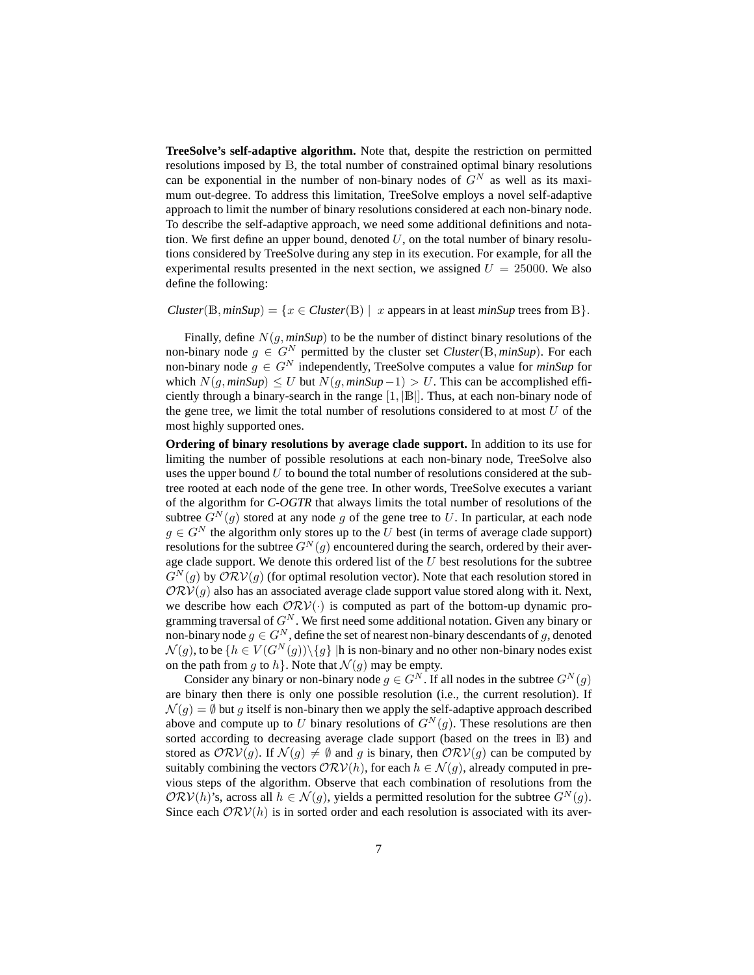**TreeSolve's self-adaptive algorithm.** Note that, despite the restriction on permitted resolutions imposed by B, the total number of constrained optimal binary resolutions can be exponential in the number of non-binary nodes of  $G<sup>N</sup>$  as well as its maximum out-degree. To address this limitation, TreeSolve employs a novel self-adaptive approach to limit the number of binary resolutions considered at each non-binary node. To describe the self-adaptive approach, we need some additional definitions and notation. We first define an upper bound, denoted  $U$ , on the total number of binary resolutions considered by TreeSolve during any step in its execution. For example, for all the experimental results presented in the next section, we assigned  $U = 25000$ . We also define the following:

#### *Cluster*( $\mathbb{B}$ ,  $minSup$ ) = { $x \in Cluster(\mathbb{B})$  |  $x$  appears in at least  $minSup$  trees from  $\mathbb{B}$ }.

Finally, define  $N(g, minSup)$  to be the number of distinct binary resolutions of the non-binary node  $g \in G^N$  permitted by the cluster set *Cluster*( $\mathbb{B}$ *, minSup*). For each non-binary node  $g \in G^N$  independently, TreeSolve computes a value for *minSup* for which  $N(q, minSup) \leq U$  but  $N(q, minSup -1) > U$ . This can be accomplished efficiently through a binary-search in the range  $[1, |B|]$ . Thus, at each non-binary node of the gene tree, we limit the total number of resolutions considered to at most  $U$  of the most highly supported ones.

**Ordering of binary resolutions by average clade support.** In addition to its use for limiting the number of possible resolutions at each non-binary node, TreeSolve also uses the upper bound  $U$  to bound the total number of resolutions considered at the subtree rooted at each node of the gene tree. In other words, TreeSolve executes a variant of the algorithm for *C-OGTR* that always limits the total number of resolutions of the subtree  $G^{N}(g)$  stored at any node g of the gene tree to U. In particular, at each node  $g \in G^N$  the algorithm only stores up to the U best (in terms of average clade support) resolutions for the subtree  $G^N(g)$  encountered during the search, ordered by their average clade support. We denote this ordered list of the  $U$  best resolutions for the subtree  $G^{N}(q)$  by  $\mathcal{ORV}(q)$  (for optimal resolution vector). Note that each resolution stored in  $\mathcal{ORV}(q)$  also has an associated average clade support value stored along with it. Next, we describe how each  $\mathcal{ORV}(\cdot)$  is computed as part of the bottom-up dynamic programming traversal of  $G^N$ . We first need some additional notation. Given any binary or non-binary node  $g \in G^N$ , define the set of nearest non-binary descendants of g, denoted  $\mathcal{N}(g)$ , to be  $\{h \in V(G^N(g)) \setminus \{g\} \mid h \text{ is non-binary and no other non-binary nodes exist}\}$ on the path from g to h. Note that  $\mathcal{N}(g)$  may be empty.

Consider any binary or non-binary node  $g \in G^N$ . If all nodes in the subtree  $G^N(q)$ are binary then there is only one possible resolution (i.e., the current resolution). If  $\mathcal{N}(q) = \emptyset$  but g itself is non-binary then we apply the self-adaptive approach described above and compute up to U binary resolutions of  $G^N(q)$ . These resolutions are then sorted according to decreasing average clade support (based on the trees in B) and stored as  $\mathcal{ORV}(q)$ . If  $\mathcal{N}(q) \neq \emptyset$  and q is binary, then  $\mathcal{ORV}(q)$  can be computed by suitably combining the vectors  $\mathcal{ORV}(h)$ , for each  $h \in \mathcal{N}(g)$ , already computed in previous steps of the algorithm. Observe that each combination of resolutions from the  $\mathcal{ORV}(h)$ 's, across all  $h \in \mathcal{N}(g)$ , yields a permitted resolution for the subtree  $G^N(g)$ . Since each  $\mathcal{ORV}(h)$  is in sorted order and each resolution is associated with its aver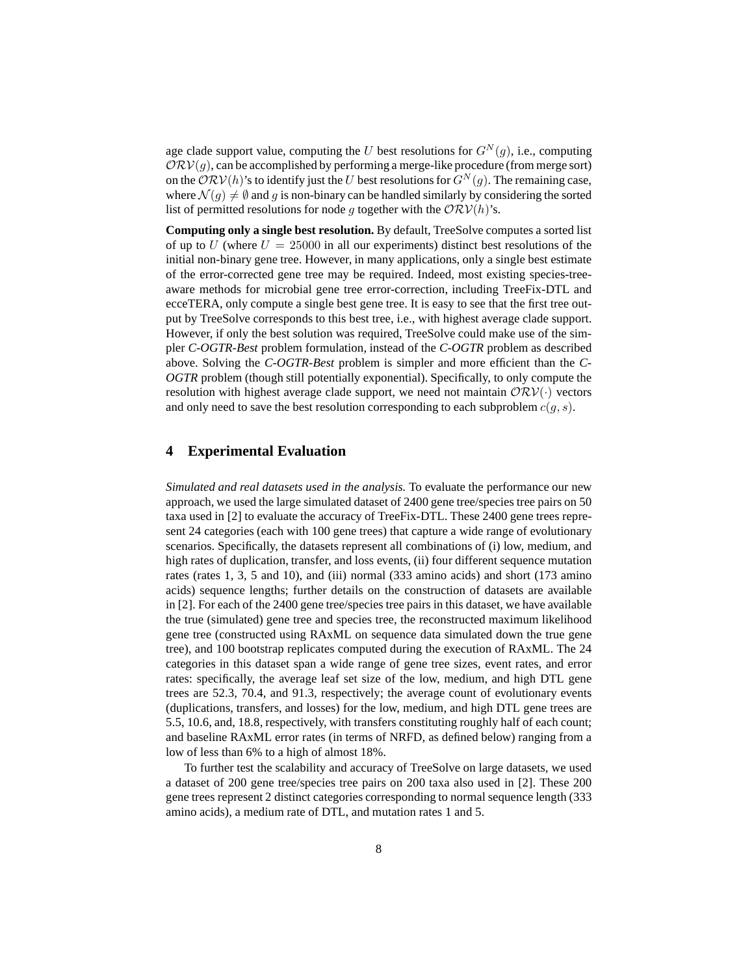age clade support value, computing the U best resolutions for  $G^N(g)$ , i.e., computing  $\mathcal{ORV}(g)$ , can be accomplished by performing a merge-like procedure (from merge sort) on the  $\mathcal{ORV}(h)$ 's to identify just the U best resolutions for  $G^N(g)$ . The remaining case, where  $\mathcal{N}(g) \neq \emptyset$  and g is non-binary can be handled similarly by considering the sorted list of permitted resolutions for node g together with the  $\mathcal{ORV}(h)$ 's.

**Computing only a single best resolution.** By default, TreeSolve computes a sorted list of up to U (where  $U = 25000$  in all our experiments) distinct best resolutions of the initial non-binary gene tree. However, in many applications, only a single best estimate of the error-corrected gene tree may be required. Indeed, most existing species-treeaware methods for microbial gene tree error-correction, including TreeFix-DTL and ecceTERA, only compute a single best gene tree. It is easy to see that the first tree output by TreeSolve corresponds to this best tree, i.e., with highest average clade support. However, if only the best solution was required, TreeSolve could make use of the simpler *C-OGTR-Best* problem formulation, instead of the *C-OGTR* problem as described above. Solving the *C-OGTR-Best* problem is simpler and more efficient than the *C-OGTR* problem (though still potentially exponential). Specifically, to only compute the resolution with highest average clade support, we need not maintain  $\mathcal{ORV}(\cdot)$  vectors and only need to save the best resolution corresponding to each subproblem  $c(g, s)$ .

## **4 Experimental Evaluation**

*Simulated and real datasets used in the analysis.* To evaluate the performance our new approach, we used the large simulated dataset of 2400 gene tree/species tree pairs on 50 taxa used in [2] to evaluate the accuracy of TreeFix-DTL. These 2400 gene trees represent 24 categories (each with 100 gene trees) that capture a wide range of evolutionary scenarios. Specifically, the datasets represent all combinations of (i) low, medium, and high rates of duplication, transfer, and loss events, (ii) four different sequence mutation rates (rates 1, 3, 5 and 10), and (iii) normal (333 amino acids) and short (173 amino acids) sequence lengths; further details on the construction of datasets are available in [2]. For each of the 2400 gene tree/species tree pairs in this dataset, we have available the true (simulated) gene tree and species tree, the reconstructed maximum likelihood gene tree (constructed using RAxML on sequence data simulated down the true gene tree), and 100 bootstrap replicates computed during the execution of RAxML. The 24 categories in this dataset span a wide range of gene tree sizes, event rates, and error rates: specifically, the average leaf set size of the low, medium, and high DTL gene trees are 52.3, 70.4, and 91.3, respectively; the average count of evolutionary events (duplications, transfers, and losses) for the low, medium, and high DTL gene trees are 5.5, 10.6, and, 18.8, respectively, with transfers constituting roughly half of each count; and baseline RAxML error rates (in terms of NRFD, as defined below) ranging from a low of less than 6% to a high of almost 18%.

To further test the scalability and accuracy of TreeSolve on large datasets, we used a dataset of 200 gene tree/species tree pairs on 200 taxa also used in [2]. These 200 gene trees represent 2 distinct categories corresponding to normal sequence length (333 amino acids), a medium rate of DTL, and mutation rates 1 and 5.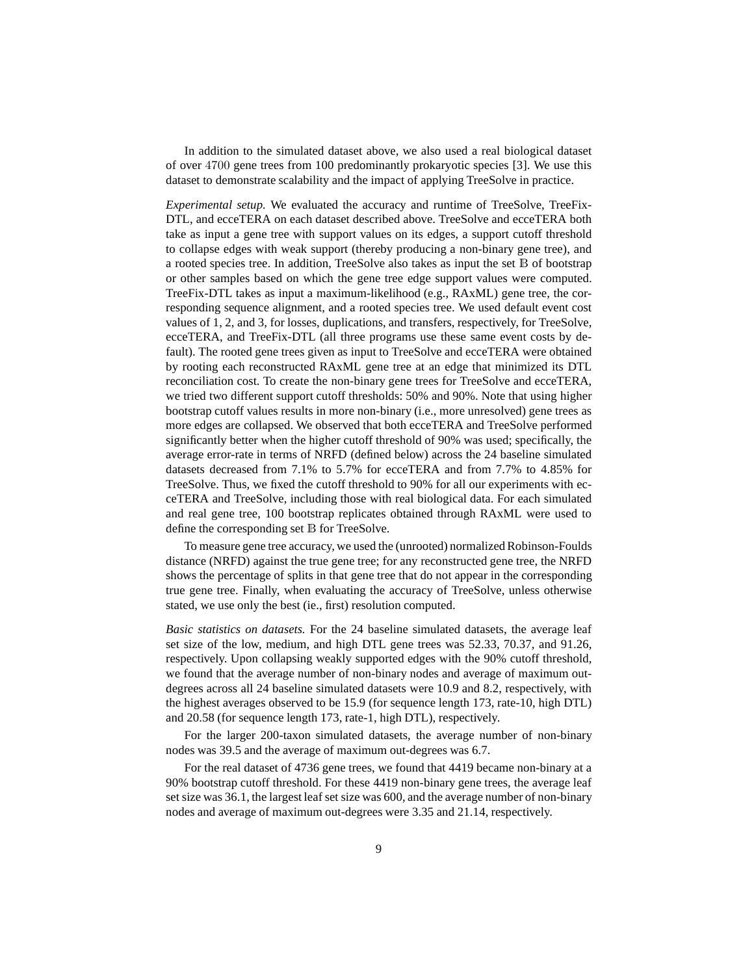In addition to the simulated dataset above, we also used a real biological dataset of over 4700 gene trees from 100 predominantly prokaryotic species [3]. We use this dataset to demonstrate scalability and the impact of applying TreeSolve in practice.

*Experimental setup.* We evaluated the accuracy and runtime of TreeSolve, TreeFix-DTL, and ecceTERA on each dataset described above. TreeSolve and ecceTERA both take as input a gene tree with support values on its edges, a support cutoff threshold to collapse edges with weak support (thereby producing a non-binary gene tree), and a rooted species tree. In addition, TreeSolve also takes as input the set B of bootstrap or other samples based on which the gene tree edge support values were computed. TreeFix-DTL takes as input a maximum-likelihood (e.g., RAxML) gene tree, the corresponding sequence alignment, and a rooted species tree. We used default event cost values of 1, 2, and 3, for losses, duplications, and transfers, respectively, for TreeSolve, ecceTERA, and TreeFix-DTL (all three programs use these same event costs by default). The rooted gene trees given as input to TreeSolve and ecceTERA were obtained by rooting each reconstructed RAxML gene tree at an edge that minimized its DTL reconciliation cost. To create the non-binary gene trees for TreeSolve and ecceTERA, we tried two different support cutoff thresholds: 50% and 90%. Note that using higher bootstrap cutoff values results in more non-binary (i.e., more unresolved) gene trees as more edges are collapsed. We observed that both ecceTERA and TreeSolve performed significantly better when the higher cutoff threshold of 90% was used; specifically, the average error-rate in terms of NRFD (defined below) across the 24 baseline simulated datasets decreased from 7.1% to 5.7% for ecceTERA and from 7.7% to 4.85% for TreeSolve. Thus, we fixed the cutoff threshold to 90% for all our experiments with ecceTERA and TreeSolve, including those with real biological data. For each simulated and real gene tree, 100 bootstrap replicates obtained through RAxML were used to define the corresponding set B for TreeSolve.

To measure gene tree accuracy, we used the (unrooted) normalized Robinson-Foulds distance (NRFD) against the true gene tree; for any reconstructed gene tree, the NRFD shows the percentage of splits in that gene tree that do not appear in the corresponding true gene tree. Finally, when evaluating the accuracy of TreeSolve, unless otherwise stated, we use only the best (ie., first) resolution computed.

*Basic statistics on datasets.* For the 24 baseline simulated datasets, the average leaf set size of the low, medium, and high DTL gene trees was 52.33, 70.37, and 91.26, respectively. Upon collapsing weakly supported edges with the 90% cutoff threshold, we found that the average number of non-binary nodes and average of maximum outdegrees across all 24 baseline simulated datasets were 10.9 and 8.2, respectively, with the highest averages observed to be 15.9 (for sequence length 173, rate-10, high DTL) and 20.58 (for sequence length 173, rate-1, high DTL), respectively.

For the larger 200-taxon simulated datasets, the average number of non-binary nodes was 39.5 and the average of maximum out-degrees was 6.7.

For the real dataset of 4736 gene trees, we found that 4419 became non-binary at a 90% bootstrap cutoff threshold. For these 4419 non-binary gene trees, the average leaf set size was 36.1, the largest leaf set size was 600, and the average number of non-binary nodes and average of maximum out-degrees were 3.35 and 21.14, respectively.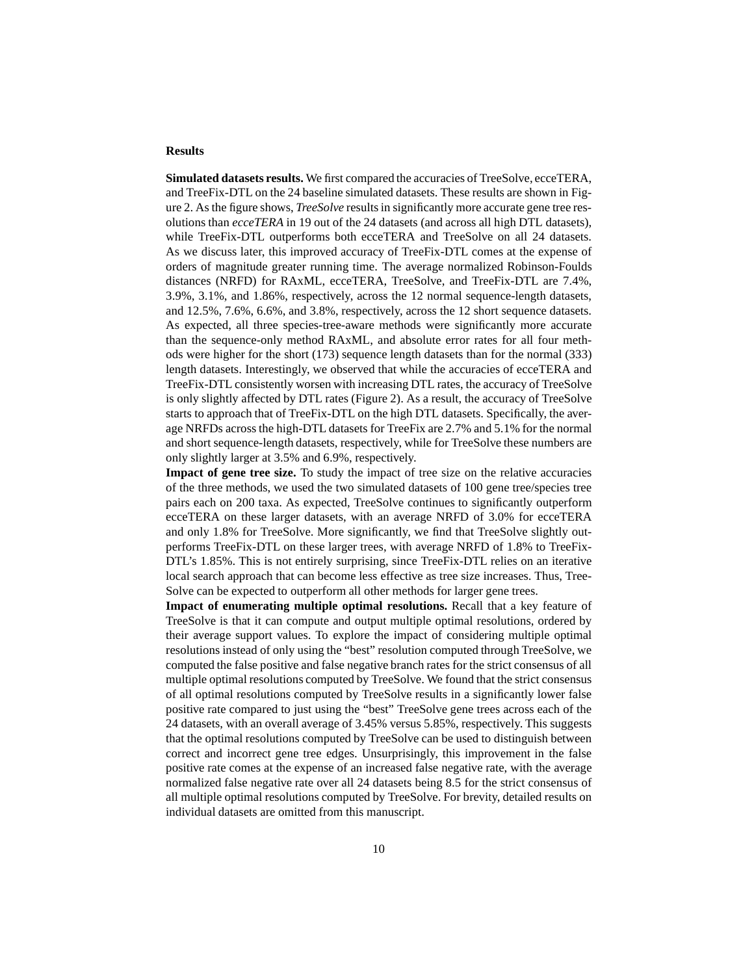#### **Results**

**Simulated datasets results.** We first compared the accuracies of TreeSolve, ecceTERA, and TreeFix-DTL on the 24 baseline simulated datasets. These results are shown in Figure 2. As the figure shows, *TreeSolve* results in significantly more accurate gene tree resolutions than *ecceTERA* in 19 out of the 24 datasets (and across all high DTL datasets), while TreeFix-DTL outperforms both ecceTERA and TreeSolve on all 24 datasets. As we discuss later, this improved accuracy of TreeFix-DTL comes at the expense of orders of magnitude greater running time. The average normalized Robinson-Foulds distances (NRFD) for RAxML, ecceTERA, TreeSolve, and TreeFix-DTL are 7.4%, 3.9%, 3.1%, and 1.86%, respectively, across the 12 normal sequence-length datasets, and 12.5%, 7.6%, 6.6%, and 3.8%, respectively, across the 12 short sequence datasets. As expected, all three species-tree-aware methods were significantly more accurate than the sequence-only method RAxML, and absolute error rates for all four methods were higher for the short (173) sequence length datasets than for the normal (333) length datasets. Interestingly, we observed that while the accuracies of ecceTERA and TreeFix-DTL consistently worsen with increasing DTL rates, the accuracy of TreeSolve is only slightly affected by DTL rates (Figure 2). As a result, the accuracy of TreeSolve starts to approach that of TreeFix-DTL on the high DTL datasets. Specifically, the average NRFDs across the high-DTL datasets for TreeFix are 2.7% and 5.1% for the normal and short sequence-length datasets, respectively, while for TreeSolve these numbers are only slightly larger at 3.5% and 6.9%, respectively.

**Impact of gene tree size.** To study the impact of tree size on the relative accuracies of the three methods, we used the two simulated datasets of 100 gene tree/species tree pairs each on 200 taxa. As expected, TreeSolve continues to significantly outperform ecceTERA on these larger datasets, with an average NRFD of 3.0% for ecceTERA and only 1.8% for TreeSolve. More significantly, we find that TreeSolve slightly outperforms TreeFix-DTL on these larger trees, with average NRFD of 1.8% to TreeFix-DTL's 1.85%. This is not entirely surprising, since TreeFix-DTL relies on an iterative local search approach that can become less effective as tree size increases. Thus, Tree-Solve can be expected to outperform all other methods for larger gene trees.

**Impact of enumerating multiple optimal resolutions.** Recall that a key feature of TreeSolve is that it can compute and output multiple optimal resolutions, ordered by their average support values. To explore the impact of considering multiple optimal resolutions instead of only using the "best" resolution computed through TreeSolve, we computed the false positive and false negative branch rates for the strict consensus of all multiple optimal resolutions computed by TreeSolve. We found that the strict consensus of all optimal resolutions computed by TreeSolve results in a significantly lower false positive rate compared to just using the "best" TreeSolve gene trees across each of the 24 datasets, with an overall average of 3.45% versus 5.85%, respectively. This suggests that the optimal resolutions computed by TreeSolve can be used to distinguish between correct and incorrect gene tree edges. Unsurprisingly, this improvement in the false positive rate comes at the expense of an increased false negative rate, with the average normalized false negative rate over all 24 datasets being 8.5 for the strict consensus of all multiple optimal resolutions computed by TreeSolve. For brevity, detailed results on individual datasets are omitted from this manuscript.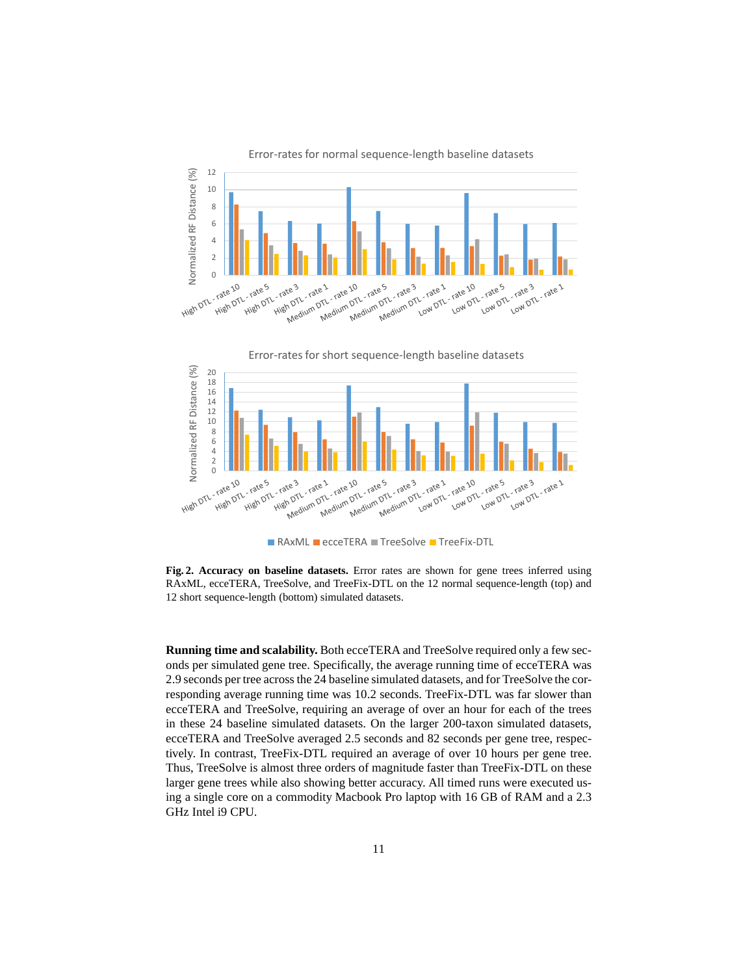

Error-rates for short sequence-length baseline datasets



**Fig. 2. Accuracy on baseline datasets.** Error rates are shown for gene trees inferred using RAxML, ecceTERA, TreeSolve, and TreeFix-DTL on the 12 normal sequence-length (top) and 12 short sequence-length (bottom) simulated datasets.

**Running time and scalability.** Both ecceTERA and TreeSolve required only a few seconds per simulated gene tree. Specifically, the average running time of ecceTERA was 2.9 seconds per tree across the 24 baseline simulated datasets, and for TreeSolve the corresponding average running time was 10.2 seconds. TreeFix-DTL was far slower than ecceTERA and TreeSolve, requiring an average of over an hour for each of the trees in these 24 baseline simulated datasets. On the larger 200-taxon simulated datasets, ecceTERA and TreeSolve averaged 2.5 seconds and 82 seconds per gene tree, respectively. In contrast, TreeFix-DTL required an average of over 10 hours per gene tree. Thus, TreeSolve is almost three orders of magnitude faster than TreeFix-DTL on these larger gene trees while also showing better accuracy. All timed runs were executed using a single core on a commodity Macbook Pro laptop with 16 GB of RAM and a 2.3 GHz Intel i9 CPU.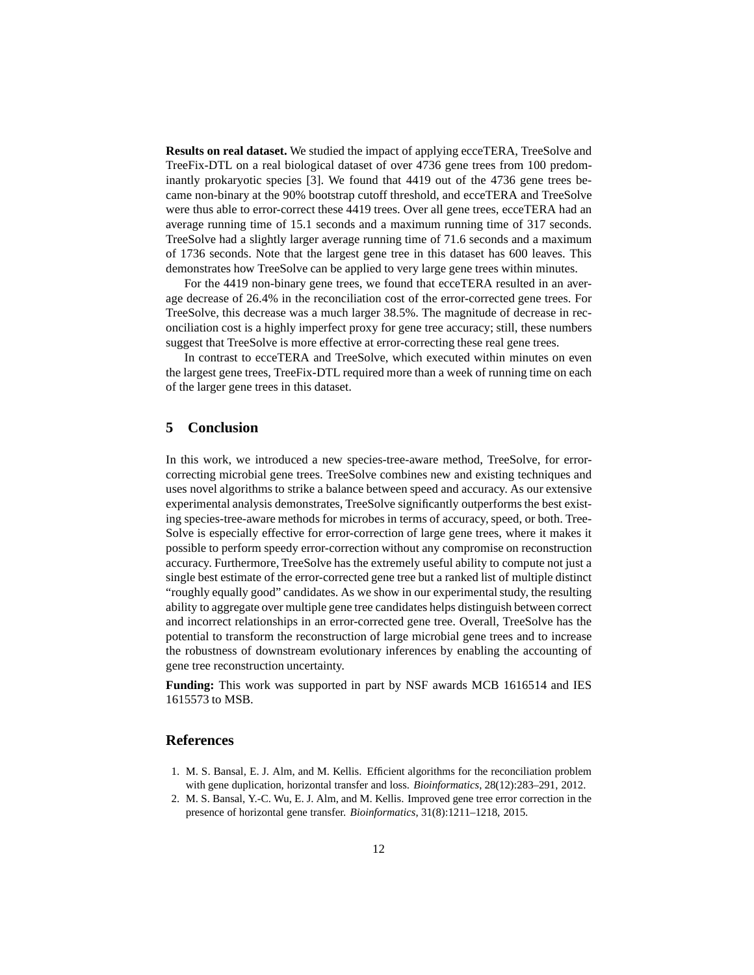**Results on real dataset.** We studied the impact of applying ecceTERA, TreeSolve and TreeFix-DTL on a real biological dataset of over 4736 gene trees from 100 predominantly prokaryotic species [3]. We found that 4419 out of the 4736 gene trees became non-binary at the 90% bootstrap cutoff threshold, and ecceTERA and TreeSolve were thus able to error-correct these 4419 trees. Over all gene trees, ecceTERA had an average running time of 15.1 seconds and a maximum running time of 317 seconds. TreeSolve had a slightly larger average running time of 71.6 seconds and a maximum of 1736 seconds. Note that the largest gene tree in this dataset has 600 leaves. This demonstrates how TreeSolve can be applied to very large gene trees within minutes.

For the 4419 non-binary gene trees, we found that ecceTERA resulted in an average decrease of 26.4% in the reconciliation cost of the error-corrected gene trees. For TreeSolve, this decrease was a much larger 38.5%. The magnitude of decrease in reconciliation cost is a highly imperfect proxy for gene tree accuracy; still, these numbers suggest that TreeSolve is more effective at error-correcting these real gene trees.

In contrast to ecceTERA and TreeSolve, which executed within minutes on even the largest gene trees, TreeFix-DTL required more than a week of running time on each of the larger gene trees in this dataset.

## **5 Conclusion**

In this work, we introduced a new species-tree-aware method, TreeSolve, for errorcorrecting microbial gene trees. TreeSolve combines new and existing techniques and uses novel algorithms to strike a balance between speed and accuracy. As our extensive experimental analysis demonstrates, TreeSolve significantly outperforms the best existing species-tree-aware methods for microbes in terms of accuracy, speed, or both. Tree-Solve is especially effective for error-correction of large gene trees, where it makes it possible to perform speedy error-correction without any compromise on reconstruction accuracy. Furthermore, TreeSolve has the extremely useful ability to compute not just a single best estimate of the error-corrected gene tree but a ranked list of multiple distinct "roughly equally good" candidates. As we show in our experimental study, the resulting ability to aggregate over multiple gene tree candidates helps distinguish between correct and incorrect relationships in an error-corrected gene tree. Overall, TreeSolve has the potential to transform the reconstruction of large microbial gene trees and to increase the robustness of downstream evolutionary inferences by enabling the accounting of gene tree reconstruction uncertainty.

**Funding:** This work was supported in part by NSF awards MCB 1616514 and IES 1615573 to MSB.

#### **References**

- 1. M. S. Bansal, E. J. Alm, and M. Kellis. Efficient algorithms for the reconciliation problem with gene duplication, horizontal transfer and loss. *Bioinformatics*, 28(12):283–291, 2012.
- 2. M. S. Bansal, Y.-C. Wu, E. J. Alm, and M. Kellis. Improved gene tree error correction in the presence of horizontal gene transfer. *Bioinformatics*, 31(8):1211–1218, 2015.